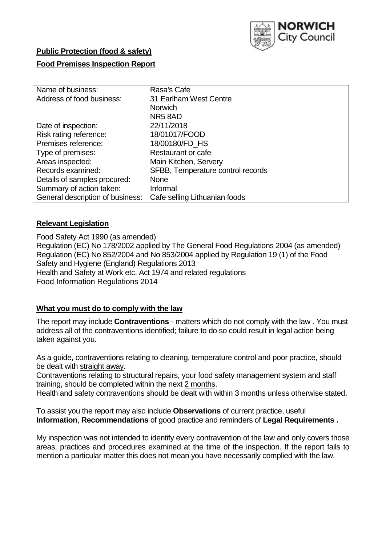

## **Public Protection (food & safety)**

## **Food Premises Inspection Report**

| Name of business:                | Rasa's Cafe                       |  |  |  |  |
|----------------------------------|-----------------------------------|--|--|--|--|
| Address of food business:        | 31 Earlham West Centre            |  |  |  |  |
|                                  | <b>Norwich</b>                    |  |  |  |  |
|                                  | NR58AD                            |  |  |  |  |
| Date of inspection:              | 22/11/2018                        |  |  |  |  |
| Risk rating reference:           | 18/01017/FOOD                     |  |  |  |  |
| Premises reference:              | 18/00180/FD_HS                    |  |  |  |  |
| Type of premises:                | Restaurant or cafe                |  |  |  |  |
| Areas inspected:                 | Main Kitchen, Servery             |  |  |  |  |
| Records examined:                | SFBB, Temperature control records |  |  |  |  |
| Details of samples procured:     | <b>None</b>                       |  |  |  |  |
| Summary of action taken:         | Informal                          |  |  |  |  |
| General description of business: | Cafe selling Lithuanian foods     |  |  |  |  |

## **Relevant Legislation**

Food Safety Act 1990 (as amended) Regulation (EC) No 178/2002 applied by The General Food Regulations 2004 (as amended) Regulation (EC) No 852/2004 and No 853/2004 applied by Regulation 19 (1) of the Food Safety and Hygiene (England) Regulations 2013 Health and Safety at Work etc. Act 1974 and related regulations Food Information Regulations 2014

## **What you must do to comply with the law**

The report may include **Contraventions** - matters which do not comply with the law . You must address all of the contraventions identified; failure to do so could result in legal action being taken against you.

As a guide, contraventions relating to cleaning, temperature control and poor practice, should be dealt with straight away.

Contraventions relating to structural repairs, your food safety management system and staff training, should be completed within the next 2 months.

Health and safety contraventions should be dealt with within 3 months unless otherwise stated.

To assist you the report may also include **Observations** of current practice, useful **Information**, **Recommendations** of good practice and reminders of **Legal Requirements .**

My inspection was not intended to identify every contravention of the law and only covers those areas, practices and procedures examined at the time of the inspection. If the report fails to mention a particular matter this does not mean you have necessarily complied with the law.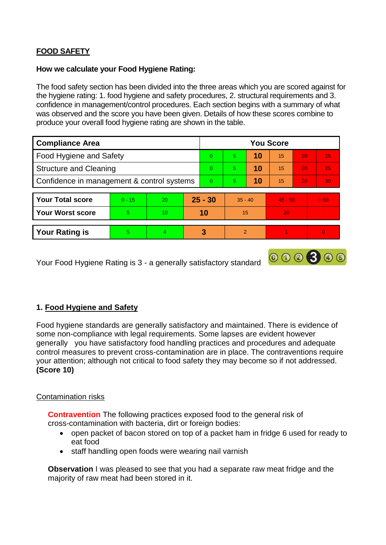# **FOOD SAFETY**

### **How we calculate your Food Hygiene Rating:**

The food safety section has been divided into the three areas which you are scored against for the hygiene rating: 1. food hygiene and safety procedures, 2. structural requirements and 3. confidence in management/control procedures. Each section begins with a summary of what was observed and the score you have been given. Details of how these scores combine to produce your overall food hygiene rating are shown in the table.

| <b>Compliance Area</b>                     |          |                 |          | <b>You Score</b> |                |    |           |                 |                |  |  |
|--------------------------------------------|----------|-----------------|----------|------------------|----------------|----|-----------|-----------------|----------------|--|--|
| Food Hygiene and Safety                    |          |                 |          | $\Omega$         | 5              | 10 | 15        | 20              | 25             |  |  |
| <b>Structure and Cleaning</b>              |          |                 |          | $\Omega$         | 5              | 10 | 15        | 20              | 25             |  |  |
| Confidence in management & control systems |          |                 | $\Omega$ | 5                | 10             | 15 | 20        | 30 <sup>°</sup> |                |  |  |
|                                            |          |                 |          |                  |                |    |           |                 |                |  |  |
| <b>Your Total score</b>                    | $0 - 15$ | 20              |          | $25 - 30$        | $35 - 40$      |    | $45 - 50$ |                 | > 50           |  |  |
| <b>Your Worst score</b>                    | 5.       | 10 <sup>°</sup> |          | 10               | 15             |    | 20        |                 | $\blacksquare$ |  |  |
|                                            |          |                 |          |                  |                |    |           |                 |                |  |  |
| <b>Your Rating is</b>                      | 5        | $\overline{4}$  |          | 3                | $\overline{2}$ |    |           |                 | $\Omega$       |  |  |

000300

Your Food Hygiene Rating is 3 - a generally satisfactory standard

## **1. Food Hygiene and Safety**

Food hygiene standards are generally satisfactory and maintained. There is evidence of some non-compliance with legal requirements. Some lapses are evident however generally you have satisfactory food handling practices and procedures and adequate control measures to prevent cross-contamination are in place. The contraventions require your attention; although not critical to food safety they may become so if not addressed. **(Score 10)**

## Contamination risks

**Contravention** The following practices exposed food to the general risk of cross-contamination with bacteria, dirt or foreign bodies:

- open packet of bacon stored on top of a packet ham in fridge 6 used for ready to eat food
- staff handling open foods were wearing nail varnish

**Observation** I was pleased to see that you had a separate raw meat fridge and the majority of raw meat had been stored in it.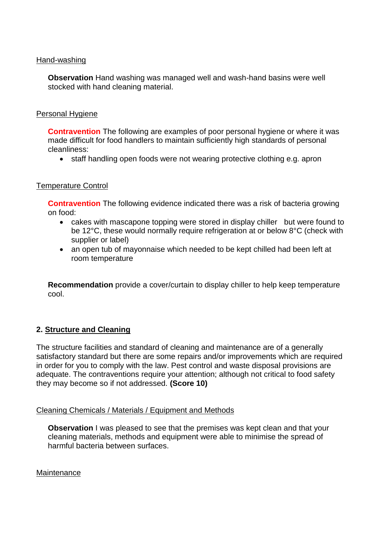#### Hand-washing

**Observation** Hand washing was managed well and wash-hand basins were well stocked with hand cleaning material.

### Personal Hygiene

**Contravention** The following are examples of poor personal hygiene or where it was made difficult for food handlers to maintain sufficiently high standards of personal cleanliness:

• staff handling open foods were not wearing protective clothing e.g. apron

#### Temperature Control

**Contravention** The following evidence indicated there was a risk of bacteria growing on food:

- cakes with mascapone topping were stored in display chiller but were found to be 12°C, these would normally require refrigeration at or below 8°C (check with supplier or label)
- an open tub of mayonnaise which needed to be kept chilled had been left at room temperature

**Recommendation** provide a cover/curtain to display chiller to help keep temperature cool.

## **2. Structure and Cleaning**

The structure facilities and standard of cleaning and maintenance are of a generally satisfactory standard but there are some repairs and/or improvements which are required in order for you to comply with the law. Pest control and waste disposal provisions are adequate. The contraventions require your attention; although not critical to food safety they may become so if not addressed. **(Score 10)**

#### Cleaning Chemicals / Materials / Equipment and Methods

**Observation** I was pleased to see that the premises was kept clean and that your cleaning materials, methods and equipment were able to minimise the spread of harmful bacteria between surfaces.

#### **Maintenance**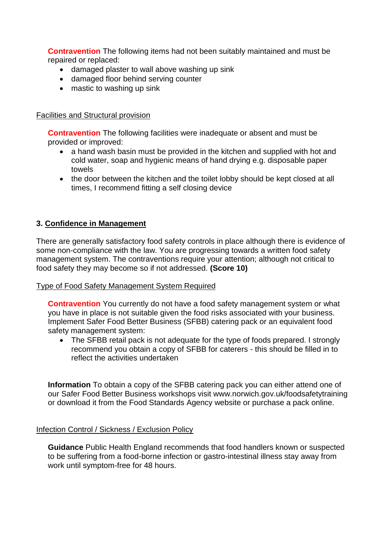**Contravention** The following items had not been suitably maintained and must be repaired or replaced:

- damaged plaster to wall above washing up sink
- damaged floor behind serving counter
- mastic to washing up sink

## Facilities and Structural provision

**Contravention** The following facilities were inadequate or absent and must be provided or improved:

- a hand wash basin must be provided in the kitchen and supplied with hot and cold water, soap and hygienic means of hand drying e.g. disposable paper towels
- the door between the kitchen and the toilet lobby should be kept closed at all times, I recommend fitting a self closing device

## **3. Confidence in Management**

There are generally satisfactory food safety controls in place although there is evidence of some non-compliance with the law. You are progressing towards a written food safety management system. The contraventions require your attention; although not critical to food safety they may become so if not addressed. **(Score 10)**

## Type of Food Safety Management System Required

**Contravention** You currently do not have a food safety management system or what you have in place is not suitable given the food risks associated with your business. Implement Safer Food Better Business (SFBB) catering pack or an equivalent food safety management system:

• The SFBB retail pack is not adequate for the type of foods prepared. I strongly recommend you obtain a copy of SFBB for caterers - this should be filled in to reflect the activities undertaken

**Information** To obtain a copy of the SFBB catering pack you can either attend one of our Safer Food Better Business workshops visit www.norwich.gov.uk/foodsafetytraining or download it from the Food Standards Agency website or purchase a pack online.

## Infection Control / Sickness / Exclusion Policy

**Guidance** Public Health England recommends that food handlers known or suspected to be suffering from a food-borne infection or gastro-intestinal illness stay away from work until symptom-free for 48 hours.